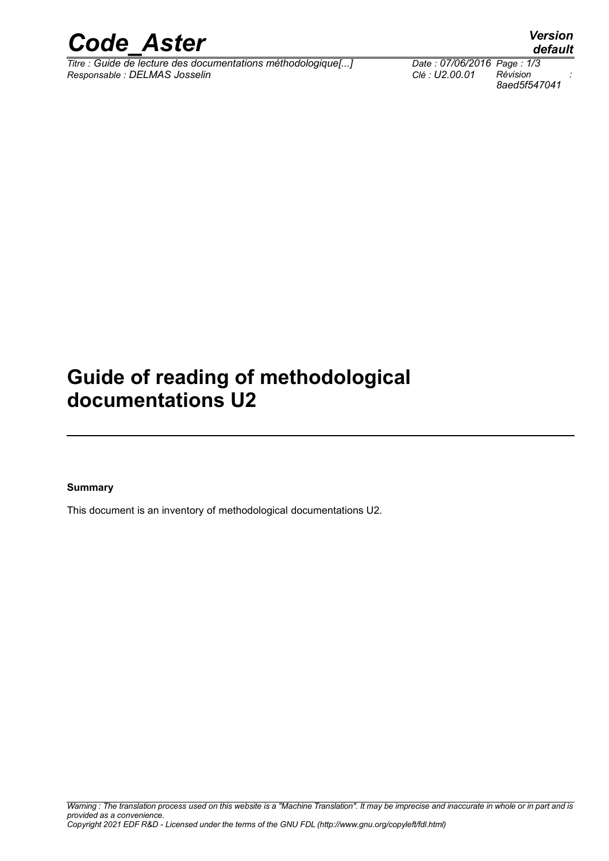

*Titre : Guide de lecture des documentations méthodologique[...] Date : 07/06/2016 Page : 1/3 Responsable : DELMAS Josselin Clé : U2.00.01 Révision :*

*8aed5f547041*

*default*

## **Guide of reading of methodological documentations U2**

#### **Summary**

This document is an inventory of methodological documentations U2.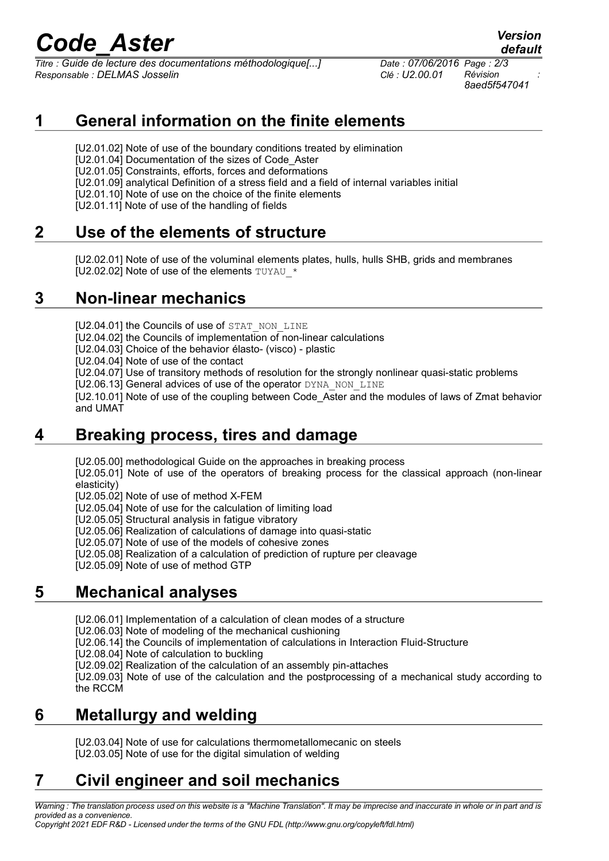# *Code\_Aster Version*

*Titre : Guide de lecture des documentations méthodologique[...] Date : 07/06/2016 Page : 2/3 Responsable : DELMAS Josselin Clé : U2.00.01 Révision :*

*8aed5f547041*

*default*

#### **1 General information on the finite elements**

[U2.01.02] Note of use of the boundary conditions treated by elimination

[U2.01.04] Documentation of the sizes of Code\_Aster

[U2.01.05] Constraints, efforts, forces and deformations

[U2.01.09] analytical Definition of a stress field and a field of internal variables initial

[U2.01.10] Note of use on the choice of the finite elements

[U2.01.11] Note of use of the handling of fields

#### **2 Use of the elements of structure**

[U2.02.01] Note of use of the voluminal elements plates, hulls, hulls SHB, grids and membranes [U2.02.02] Note of use of the elements TUYAU \*

#### **3 Non-linear mechanics**

[U2.04.01] the Councils of use of STAT\_NON\_LINE

[U2.04.02] the Councils of implementation of non-linear calculations

[U2.04.03] Choice of the behavior élasto- (visco) - plastic

[U2.04.04] Note of use of the contact

[U2.04.07] Use of transitory methods of resolution for the strongly nonlinear quasi-static problems

[U2.06.13] General advices of use of the operator DYNA\_NON\_LINE

[U2.10.01] Note of use of the coupling between Code\_Aster and the modules of laws of Zmat behavior and UMAT

#### **4 Breaking process, tires and damage**

[U2.05.00] methodological Guide on the approaches in breaking process

[U2.05.01] Note of use of the operators of breaking process for the classical approach (non-linear elasticity)

[U2.05.02] Note of use of method X-FEM

[U2.05.04] Note of use for the calculation of limiting load

[U2.05.05] Structural analysis in fatigue vibratory

[U2.05.06] Realization of calculations of damage into quasi-static

[U2.05.07] Note of use of the models of cohesive zones

[U2.05.08] Realization of a calculation of prediction of rupture per cleavage

[U2.05.09] Note of use of method GTP

#### **5 Mechanical analyses**

[U2.06.01] Implementation of a calculation of clean modes of a structure

[U2.06.03] Note of modeling of the mechanical cushioning

[U2.06.14] the Councils of implementation of calculations in Interaction Fluid-Structure

[U2.08.04] Note of calculation to buckling

[U2.09.02] Realization of the calculation of an assembly pin-attaches

[U2.09.03] Note of use of the calculation and the postprocessing of a mechanical study according to the RCCM

#### **6 Metallurgy and welding**

[U2.03.04] Note of use for calculations thermometallomecanic on steels [U2.03.05] Note of use for the digital simulation of welding

### **7 Civil engineer and soil mechanics**

*Warning : The translation process used on this website is a "Machine Translation". It may be imprecise and inaccurate in whole or in part and is provided as a convenience. Copyright 2021 EDF R&D - Licensed under the terms of the GNU FDL (http://www.gnu.org/copyleft/fdl.html)*